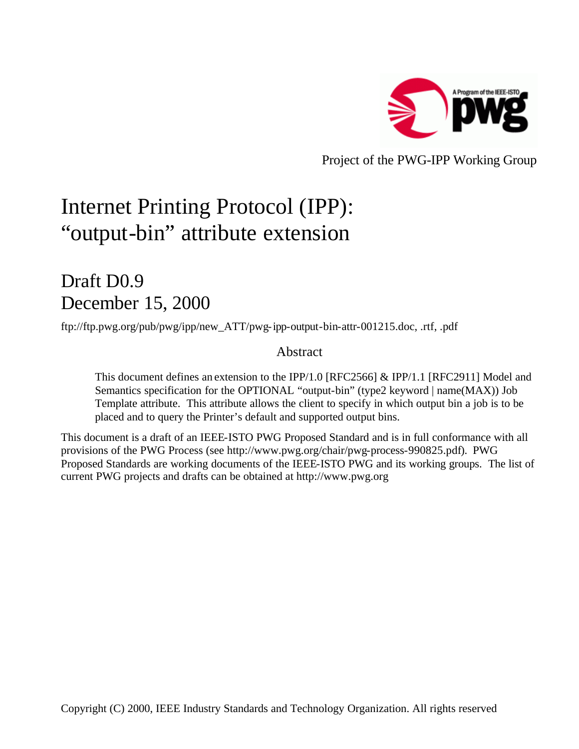

Project of the PWG-IPP Working Group

# Internet Printing Protocol (IPP): "output-bin" attribute extension

## Draft D<sub>0.9</sub> December 15, 2000

ftp://ftp.pwg.org/pub/pwg/ipp/new\_ATT/pwg-ipp-output-bin-attr-001215.doc, .rtf, .pdf

## Abstract

This document defines an extension to the IPP/1.0 [RFC2566] & IPP/1.1 [RFC2911] Model and Semantics specification for the OPTIONAL "output-bin" (type2 keyword | name(MAX)) Job Template attribute. This attribute allows the client to specify in which output bin a job is to be placed and to query the Printer's default and supported output bins.

This document is a draft of an IEEE-ISTO PWG Proposed Standard and is in full conformance with all provisions of the PWG Process (see http://www.pwg.org/chair/pwg-process-990825.pdf). PWG Proposed Standards are working documents of the IEEE-ISTO PWG and its working groups. The list of current PWG projects and drafts can be obtained at http://www.pwg.org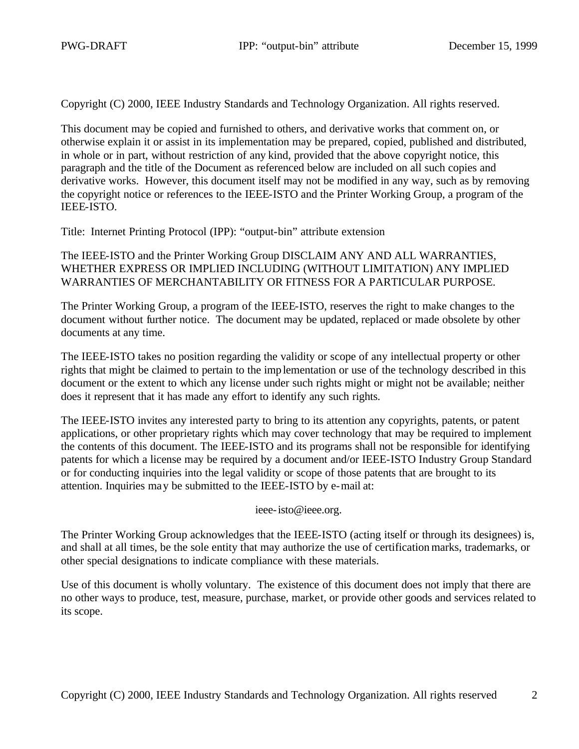Copyright (C) 2000, IEEE Industry Standards and Technology Organization. All rights reserved.

This document may be copied and furnished to others, and derivative works that comment on, or otherwise explain it or assist in its implementation may be prepared, copied, published and distributed, in whole or in part, without restriction of any kind, provided that the above copyright notice, this paragraph and the title of the Document as referenced below are included on all such copies and derivative works. However, this document itself may not be modified in any way, such as by removing the copyright notice or references to the IEEE-ISTO and the Printer Working Group, a program of the IEEE-ISTO.

Title: Internet Printing Protocol (IPP): "output-bin" attribute extension

The IEEE-ISTO and the Printer Working Group DISCLAIM ANY AND ALL WARRANTIES, WHETHER EXPRESS OR IMPLIED INCLUDING (WITHOUT LIMITATION) ANY IMPLIED WARRANTIES OF MERCHANTABILITY OR FITNESS FOR A PARTICULAR PURPOSE.

The Printer Working Group, a program of the IEEE-ISTO, reserves the right to make changes to the document without further notice. The document may be updated, replaced or made obsolete by other documents at any time.

The IEEE-ISTO takes no position regarding the validity or scope of any intellectual property or other rights that might be claimed to pertain to the implementation or use of the technology described in this document or the extent to which any license under such rights might or might not be available; neither does it represent that it has made any effort to identify any such rights.

The IEEE-ISTO invites any interested party to bring to its attention any copyrights, patents, or patent applications, or other proprietary rights which may cover technology that may be required to implement the contents of this document. The IEEE-ISTO and its programs shall not be responsible for identifying patents for which a license may be required by a document and/or IEEE-ISTO Industry Group Standard or for conducting inquiries into the legal validity or scope of those patents that are brought to its attention. Inquiries may be submitted to the IEEE-ISTO by e-mail at:

ieee-isto@ieee.org.

The Printer Working Group acknowledges that the IEEE-ISTO (acting itself or through its designees) is, and shall at all times, be the sole entity that may authorize the use of certification marks, trademarks, or other special designations to indicate compliance with these materials.

Use of this document is wholly voluntary. The existence of this document does not imply that there are no other ways to produce, test, measure, purchase, market, or provide other goods and services related to its scope.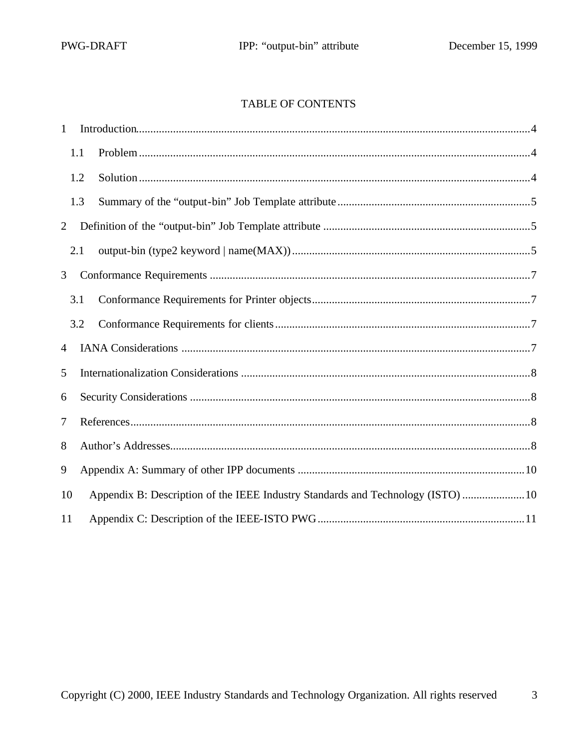## **TABLE OF CONTENTS**

| $\mathbf{1}$ |     |                                                                                 |  |  |  |
|--------------|-----|---------------------------------------------------------------------------------|--|--|--|
|              | 1.1 |                                                                                 |  |  |  |
|              | 1.2 |                                                                                 |  |  |  |
|              | 1.3 |                                                                                 |  |  |  |
| 2            |     |                                                                                 |  |  |  |
|              | 2.1 |                                                                                 |  |  |  |
| 3            |     |                                                                                 |  |  |  |
|              | 3.1 |                                                                                 |  |  |  |
|              | 3.2 |                                                                                 |  |  |  |
| 4            |     |                                                                                 |  |  |  |
| 5            |     |                                                                                 |  |  |  |
| 6            |     |                                                                                 |  |  |  |
| 7            |     |                                                                                 |  |  |  |
| 8            |     |                                                                                 |  |  |  |
| 9            |     |                                                                                 |  |  |  |
| 10           |     | Appendix B: Description of the IEEE Industry Standards and Technology (ISTO) 10 |  |  |  |
| 11           |     |                                                                                 |  |  |  |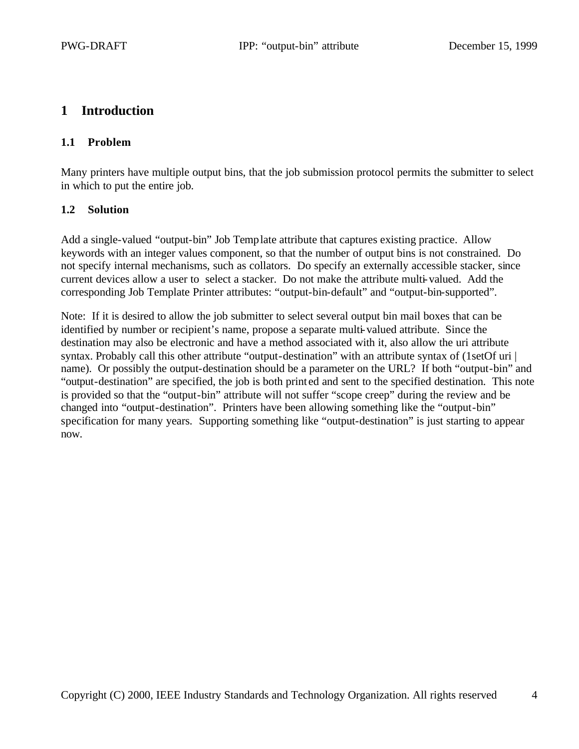## **1 Introduction**

## **1.1 Problem**

Many printers have multiple output bins, that the job submission protocol permits the submitter to select in which to put the entire job.

## **1.2 Solution**

Add a single-valued "output-bin" Job Template attribute that captures existing practice. Allow keywords with an integer values component, so that the number of output bins is not constrained. Do not specify internal mechanisms, such as collators. Do specify an externally accessible stacker, since current devices allow a user to select a stacker. Do not make the attribute multi-valued. Add the corresponding Job Template Printer attributes: "output-bin-default" and "output-bin-supported".

Note: If it is desired to allow the job submitter to select several output bin mail boxes that can be identified by number or recipient's name, propose a separate multi-valued attribute. Since the destination may also be electronic and have a method associated with it, also allow the uri attribute syntax. Probably call this other attribute "output-destination" with an attribute syntax of (1setOf uri | name). Or possibly the output-destination should be a parameter on the URL? If both "output-bin" and "output-destination" are specified, the job is both print ed and sent to the specified destination. This note is provided so that the "output-bin" attribute will not suffer "scope creep" during the review and be changed into "output-destination". Printers have been allowing something like the "output-bin" specification for many years. Supporting something like "output-destination" is just starting to appear now.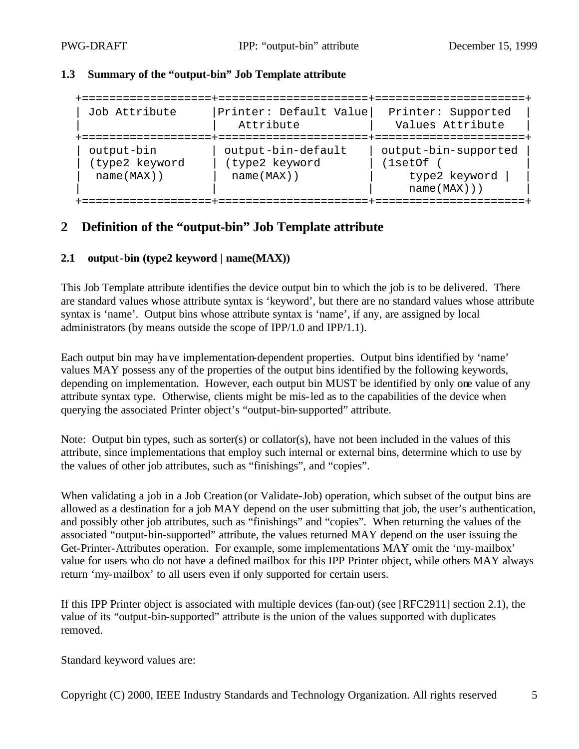#### **1.3 Summary of the "output-bin" Job Template attribute**

| Job Attribute                                 | Printer: Default Value<br>Attribute                   | Printer: Supported<br>Values Attribute                         |
|-----------------------------------------------|-------------------------------------------------------|----------------------------------------------------------------|
| output-bin<br>(type2 keyword<br>$name(MAX)$ ) | output-bin-default<br>(type2 keyword<br>$name(MAX)$ ) | output-bin-supported<br>(1setOf<br>type2 keyword<br>name(MAX)) |

## **2 Definition of the "output-bin" Job Template attribute**

#### **2.1 output-bin (type2 keyword | name(MAX))**

This Job Template attribute identifies the device output bin to which the job is to be delivered. There are standard values whose attribute syntax is 'keyword', but there are no standard values whose attribute syntax is 'name'. Output bins whose attribute syntax is 'name', if any, are assigned by local administrators (by means outside the scope of IPP/1.0 and IPP/1.1).

Each output bin may have implementation-dependent properties. Output bins identified by 'name' values MAY possess any of the properties of the output bins identified by the following keywords, depending on implementation. However, each output bin MUST be identified by only one value of any attribute syntax type. Otherwise, clients might be mis-led as to the capabilities of the device when querying the associated Printer object's "output-bin-supported" attribute.

Note: Output bin types, such as sorter(s) or collator(s), have not been included in the values of this attribute, since implementations that employ such internal or external bins, determine which to use by the values of other job attributes, such as "finishings", and "copies".

When validating a job in a Job Creation (or Validate-Job) operation, which subset of the output bins are allowed as a destination for a job MAY depend on the user submitting that job, the user's authentication, and possibly other job attributes, such as "finishings" and "copies". When returning the values of the associated "output-bin-supported" attribute, the values returned MAY depend on the user issuing the Get-Printer-Attributes operation. For example, some implementations MAY omit the 'my-mailbox' value for users who do not have a defined mailbox for this IPP Printer object, while others MAY always return 'my-mailbox' to all users even if only supported for certain users.

If this IPP Printer object is associated with multiple devices (fan-out) (see [RFC2911] section 2.1), the value of its "output-bin-supported" attribute is the union of the values supported with duplicates removed.

Standard keyword values are: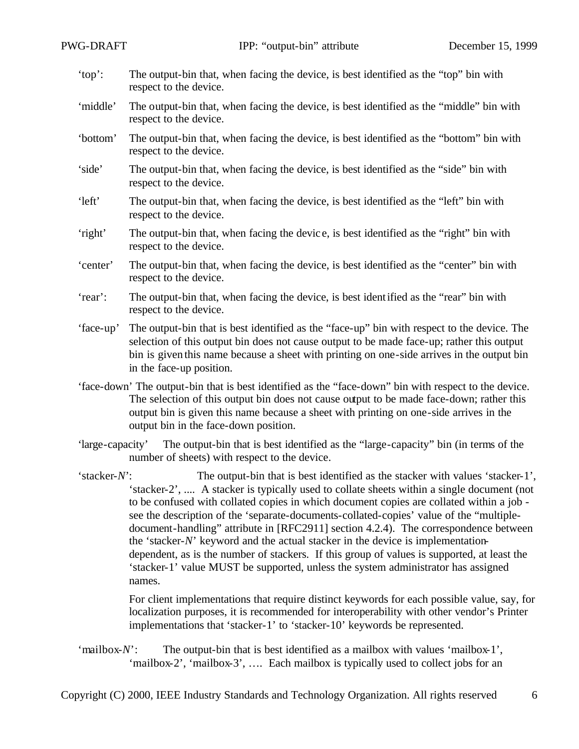- 'top': The output-bin that, when facing the device, is best identified as the "top" bin with respect to the device.
- 'middle' The output-bin that, when facing the device, is best identified as the "middle" bin with respect to the device.
- 'bottom' The output-bin that, when facing the device, is best identified as the "bottom" bin with respect to the device.
- 'side' The output-bin that, when facing the device, is best identified as the "side" bin with respect to the device.
- 'left' The output-bin that, when facing the device, is best identified as the "left" bin with respect to the device.
- 'right' The output-bin that, when facing the devic e, is best identified as the "right" bin with respect to the device.
- 'center' The output-bin that, when facing the device, is best identified as the "center" bin with respect to the device.
- 'rear': The output-bin that, when facing the device, is best identified as the "rear" bin with respect to the device.
- 'face-up' The output-bin that is best identified as the "face-up" bin with respect to the device. The selection of this output bin does not cause output to be made face-up; rather this output bin is given this name because a sheet with printing on one-side arrives in the output bin in the face-up position.
- 'face-down' The output-bin that is best identified as the "face-down" bin with respect to the device. The selection of this output bin does not cause output to be made face-down; rather this output bin is given this name because a sheet with printing on one-side arrives in the output bin in the face-down position.
- 'large-capacity' The output-bin that is best identified as the "large-capacity" bin (in terms of the number of sheets) with respect to the device.

'stacker-*N*': The output-bin that is best identified as the stacker with values 'stacker-1', 'stacker-2', .... A stacker is typically used to collate sheets within a single document (not to be confused with collated copies in which document copies are collated within a job see the description of the 'separate-documents-collated-copies' value of the "multipledocument-handling" attribute in [RFC2911] section 4.2.4). The correspondence between the 'stacker-*N*' keyword and the actual stacker in the device is implementationdependent, as is the number of stackers. If this group of values is supported, at least the 'stacker-1' value MUST be supported, unless the system administrator has assigned names.

> For client implementations that require distinct keywords for each possible value, say, for localization purposes, it is recommended for interoperability with other vendor's Printer implementations that 'stacker-1' to 'stacker-10' keywords be represented.

'mailbox-*N*': The output-bin that is best identified as a mailbox with values 'mailbox-1', 'mailbox-2', 'mailbox-3', …. Each mailbox is typically used to collect jobs for an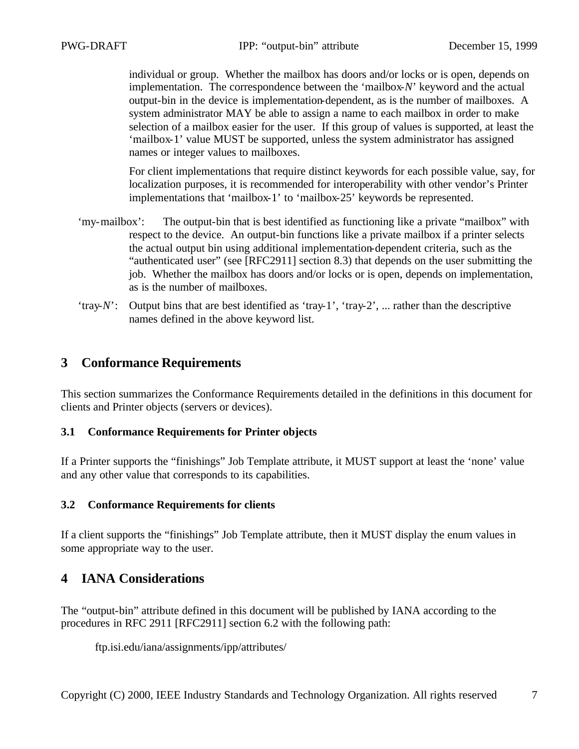individual or group. Whether the mailbox has doors and/or locks or is open, depends on implementation. The correspondence between the 'mailbox-*N*' keyword and the actual output-bin in the device is implementation-dependent, as is the number of mailboxes. A system administrator MAY be able to assign a name to each mailbox in order to make selection of a mailbox easier for the user. If this group of values is supported, at least the 'mailbox-1' value MUST be supported, unless the system administrator has assigned names or integer values to mailboxes.

For client implementations that require distinct keywords for each possible value, say, for localization purposes, it is recommended for interoperability with other vendor's Printer implementations that 'mailbox-1' to 'mailbox-25' keywords be represented.

- 'my-mailbox': The output-bin that is best identified as functioning like a private "mailbox" with respect to the device. An output-bin functions like a private mailbox if a printer selects the actual output bin using additional implementation-dependent criteria, such as the "authenticated user" (see [RFC2911] section 8.3) that depends on the user submitting the job. Whether the mailbox has doors and/or locks or is open, depends on implementation, as is the number of mailboxes.
- 'tray-*N*': Output bins that are best identified as 'tray-1', 'tray-2', ... rather than the descriptive names defined in the above keyword list.

## **3 Conformance Requirements**

This section summarizes the Conformance Requirements detailed in the definitions in this document for clients and Printer objects (servers or devices).

## **3.1 Conformance Requirements for Printer objects**

If a Printer supports the "finishings" Job Template attribute, it MUST support at least the 'none' value and any other value that corresponds to its capabilities.

## **3.2 Conformance Requirements for clients**

If a client supports the "finishings" Job Template attribute, then it MUST display the enum values in some appropriate way to the user.

## **4 IANA Considerations**

The "output-bin" attribute defined in this document will be published by IANA according to the procedures in RFC 2911 [RFC2911] section 6.2 with the following path:

ftp.isi.edu/iana/assignments/ipp/attributes/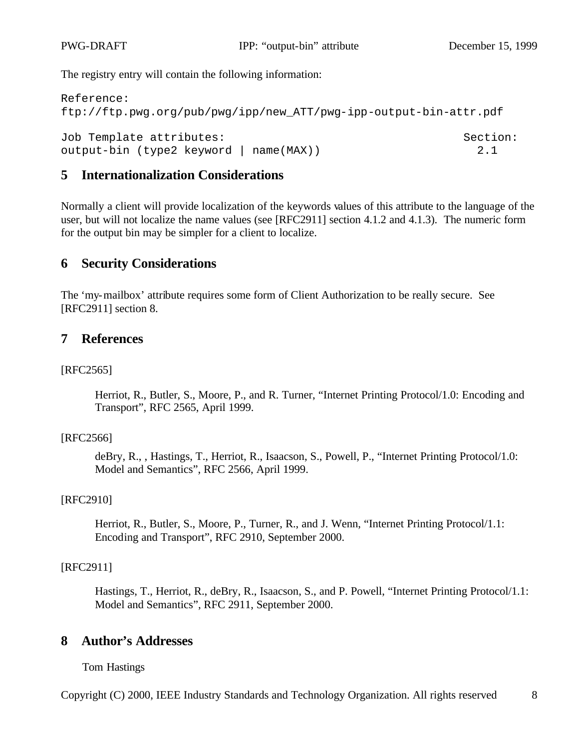The registry entry will contain the following information:

```
Reference: 
ftp://ftp.pwg.org/pub/pwg/ipp/new_ATT/pwg-ipp-output-bin-attr.pdf
Job Template attributes: Section:
output-bin (type2 keyword | name(MAX)) 2.1
```
## **5 Internationalization Considerations**

Normally a client will provide localization of the keywords values of this attribute to the language of the user, but will not localize the name values (see [RFC2911] section 4.1.2 and 4.1.3). The numeric form for the output bin may be simpler for a client to localize.

## **6 Security Considerations**

The 'my-mailbox' attribute requires some form of Client Authorization to be really secure. See [RFC2911] section 8.

## **7 References**

#### [RFC2565]

Herriot, R., Butler, S., Moore, P., and R. Turner, "Internet Printing Protocol/1.0: Encoding and Transport", RFC 2565, April 1999.

#### [RFC2566]

deBry, R., , Hastings, T., Herriot, R., Isaacson, S., Powell, P., "Internet Printing Protocol/1.0: Model and Semantics", RFC 2566, April 1999.

#### [RFC2910]

Herriot, R., Butler, S., Moore, P., Turner, R., and J. Wenn, "Internet Printing Protocol/1.1: Encoding and Transport", RFC 2910, September 2000.

#### [RFC2911]

Hastings, T., Herriot, R., deBry, R., Isaacson, S., and P. Powell, "Internet Printing Protocol/1.1: Model and Semantics", RFC 2911, September 2000.

## **8 Author's Addresses**

Tom Hastings

Copyright (C) 2000, IEEE Industry Standards and Technology Organization. All rights reserved 8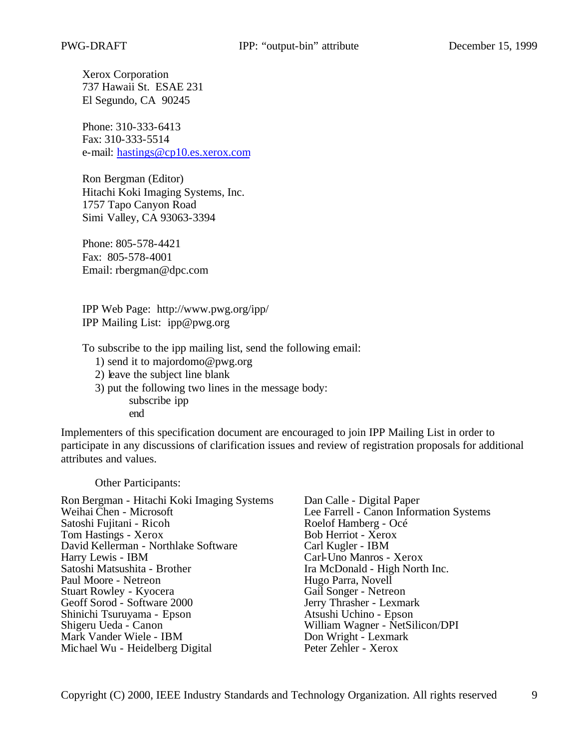Xerox Corporation 737 Hawaii St. ESAE 231 El Segundo, CA 90245

Phone: 310-333-6413 Fax: 310-333-5514 e-mail: hastings@cp10.es.xerox.com

Ron Bergman (Editor) Hitachi Koki Imaging Systems, Inc. 1757 Tapo Canyon Road Simi Valley, CA 93063-3394

Phone: 805-578-4421 Fax: 805-578-4001 Email: rbergman@dpc.com

IPP Web Page: http://www.pwg.org/ipp/ IPP Mailing List: ipp@pwg.org

To subscribe to the ipp mailing list, send the following email:

- 1) send it to majordomo@pwg.org
- 2) leave the subject line blank
- 3) put the following two lines in the message body: subscribe ipp end

Implementers of this specification document are encouraged to join IPP Mailing List in order to participate in any discussions of clarification issues and review of registration proposals for additional attributes and values.

Other Participants:

| Ron Bergman - Hitachi Koki Imaging Systems | Dan Calle - Digital Paper               |
|--------------------------------------------|-----------------------------------------|
| Weihai Chen - Microsoft                    | Lee Farrell - Canon Information Systems |
| Satoshi Fujitani - Ricoh                   | Roelof Hamberg - Océ                    |
| Tom Hastings - Xerox                       | Bob Herriot - Xerox                     |
| David Kellerman - Northlake Software       | Carl Kugler - IBM                       |
| Harry Lewis - IBM                          | Carl-Uno Manros - Xerox                 |
| Satoshi Matsushita - Brother               | Ira McDonald - High North Inc.          |
| Paul Moore - Netreon                       | Hugo Parra, Novell                      |
| Stuart Rowley - Kyocera                    | Gail Songer - Netreon                   |
| Geoff Sorod - Software 2000                | Jerry Thrasher - Lexmark                |
| Shinichi Tsuruyama - Epson                 | Atsushi Uchino - Epson                  |
| Shigeru Ueda - Canon                       | William Wagner - NetSilicon/DPI         |
| Mark Vander Wiele - IBM                    | Don Wright - Lexmark                    |
| Michael Wu - Heidelberg Digital            | Peter Zehler - Xerox                    |
|                                            |                                         |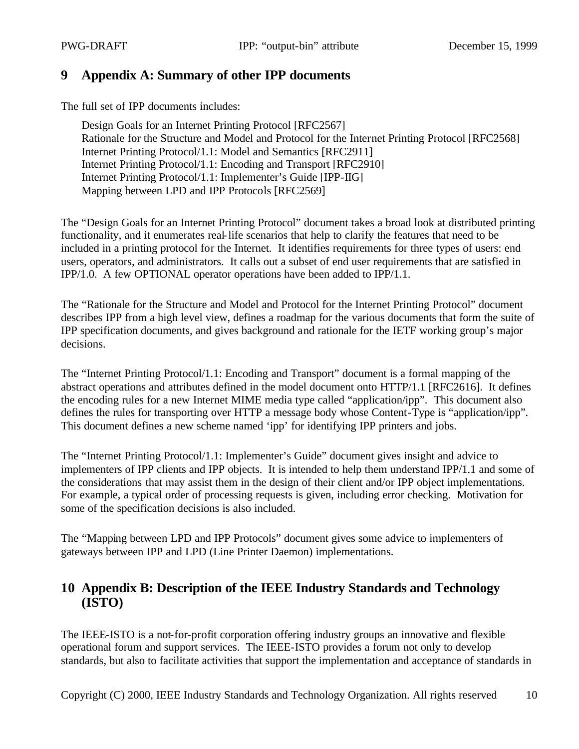## **9 Appendix A: Summary of other IPP documents**

The full set of IPP documents includes:

Design Goals for an Internet Printing Protocol [RFC2567] Rationale for the Structure and Model and Protocol for the Internet Printing Protocol [RFC2568] Internet Printing Protocol/1.1: Model and Semantics [RFC2911] Internet Printing Protocol/1.1: Encoding and Transport [RFC2910] Internet Printing Protocol/1.1: Implementer's Guide [IPP-IIG] Mapping between LPD and IPP Protocols [RFC2569]

The "Design Goals for an Internet Printing Protocol" document takes a broad look at distributed printing functionality, and it enumerates real-life scenarios that help to clarify the features that need to be included in a printing protocol for the Internet. It identifies requirements for three types of users: end users, operators, and administrators. It calls out a subset of end user requirements that are satisfied in IPP/1.0. A few OPTIONAL operator operations have been added to IPP/1.1.

The "Rationale for the Structure and Model and Protocol for the Internet Printing Protocol" document describes IPP from a high level view, defines a roadmap for the various documents that form the suite of IPP specification documents, and gives background and rationale for the IETF working group's major decisions.

The "Internet Printing Protocol/1.1: Encoding and Transport" document is a formal mapping of the abstract operations and attributes defined in the model document onto HTTP/1.1 [RFC2616]. It defines the encoding rules for a new Internet MIME media type called "application/ipp". This document also defines the rules for transporting over HTTP a message body whose Content-Type is "application/ipp". This document defines a new scheme named 'ipp' for identifying IPP printers and jobs.

The "Internet Printing Protocol/1.1: Implementer's Guide" document gives insight and advice to implementers of IPP clients and IPP objects. It is intended to help them understand IPP/1.1 and some of the considerations that may assist them in the design of their client and/or IPP object implementations. For example, a typical order of processing requests is given, including error checking. Motivation for some of the specification decisions is also included.

The "Mapping between LPD and IPP Protocols" document gives some advice to implementers of gateways between IPP and LPD (Line Printer Daemon) implementations.

## **10 Appendix B: Description of the IEEE Industry Standards and Technology (ISTO)**

The IEEE-ISTO is a not-for-profit corporation offering industry groups an innovative and flexible operational forum and support services. The IEEE-ISTO provides a forum not only to develop standards, but also to facilitate activities that support the implementation and acceptance of standards in